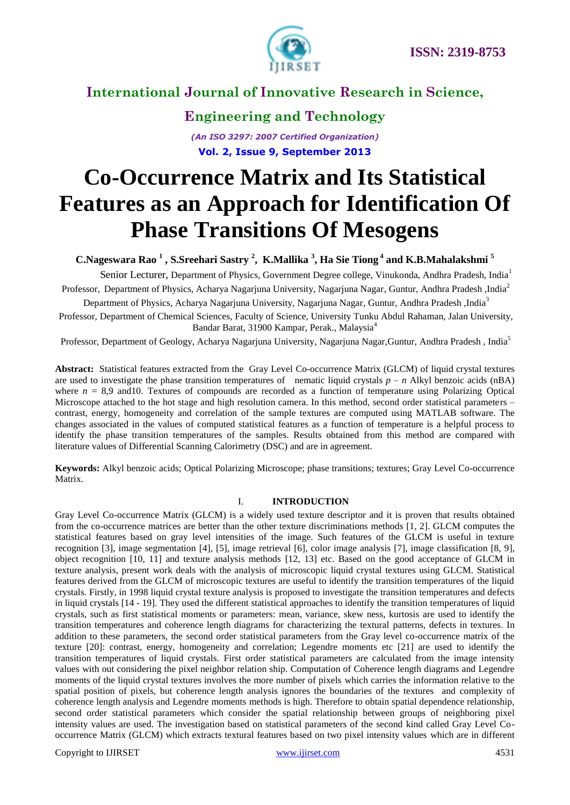

## **Engineering and Technology**

*(An ISO 3297: 2007 Certified Organization)* **Vol. 2, Issue 9, September 2013**

# **Co-Occurrence Matrix and Its Statistical Features as an Approach for Identification Of Phase Transitions Of Mesogens**

**C.Nageswara Rao <sup>1</sup> , S.Sreehari Sastry 2 , K.Mallika <sup>3</sup> , Ha Sie Tiong <sup>4</sup> and K.B.Mahalakshmi <sup>5</sup>**

Senior Lecturer, Department of Physics, Government Degree college, Vinukonda, Andhra Pradesh, India<sup>1</sup> Professor, Department of Physics, Acharya Nagarjuna University, Nagarjuna Nagar, Guntur, Andhra Pradesh ,India<sup>2</sup>

Department of Physics, Acharya Nagarjuna University, Nagarjuna Nagar, Guntur, Andhra Pradesh ,India<sup>3</sup>

Professor, Department of Chemical Sciences, Faculty of Science, University Tunku Abdul Rahaman, Jalan University, Bandar Barat, 31900 Kampar, Perak., Malaysia<sup>4</sup>

Professor, Department of Geology, Acharya Nagarjuna University, Nagarjuna Nagar,Guntur, Andhra Pradesh , India<sup>5</sup>

**Abstract:** Statistical features extracted from the Gray Level Co-occurrence Matrix (GLCM) of liquid crystal textures are used to investigate the phase transition temperatures of nematic liquid crystals  $p - n$  Alkyl benzoic acids (nBA) where  $n = 8.9$  and 10. Textures of compounds are recorded as a function of temperature using Polarizing Optical Microscope attached to the hot stage and high resolution camera. In this method, second order statistical parameters – contrast, energy, homogeneity and correlation of the sample textures are computed using MATLAB software. The changes associated in the values of computed statistical features as a function of temperature is a helpful process to identify the phase transition temperatures of the samples. Results obtained from this method are compared with literature values of Differential Scanning Calorimetry (DSC) and are in agreement.

**Keywords:** Alkyl benzoic acids; Optical Polarizing Microscope; phase transitions; textures; Gray Level Co-occurrence Matrix.

#### I. **INTRODUCTION**

Gray Level Co-occurrence Matrix (GLCM) is a widely used texture descriptor and it is proven that results obtained from the co-occurrence matrices are better than the other texture discriminations methods [1, 2]. GLCM computes the statistical features based on gray level intensities of the image. Such features of the GLCM is useful in texture recognition [3], image segmentation [4], [5], image retrieval [6], color image analysis [7], image classification [8, 9], object recognition [10, 11] and texture analysis methods [12, 13] etc. Based on the good acceptance of GLCM in texture analysis, present work deals with the analysis of microscopic liquid crystal textures using GLCM. Statistical features derived from the GLCM of microscopic textures are useful to identify the transition temperatures of the liquid crystals. Firstly, in 1998 liquid crystal texture analysis is proposed to investigate the transition temperatures and defects in liquid crystals [14 - 19]. They used the different statistical approaches to identify the transition temperatures of liquid crystals, such as first statistical moments or parameters: mean, variance, skew ness, kurtosis are used to identify the transition temperatures and coherence length diagrams for characterizing the textural patterns, defects in textures. In addition to these parameters, the second order statistical parameters from the Gray level co-occurrence matrix of the texture [20]: contrast, energy, homogeneity and correlation; Legendre moments etc [21] are used to identify the transition temperatures of liquid crystals. First order statistical parameters are calculated from the image intensity values with out considering the pixel neighbor relation ship. Computation of Coherence length diagrams and Legendre moments of the liquid crystal textures involves the more number of pixels which carries the information relative to the spatial position of pixels, but coherence length analysis ignores the boundaries of the textures and complexity of coherence length analysis and Legendre moments methods is high. Therefore to obtain spatial dependence relationship, second order statistical parameters which consider the spatial relationship between groups of neighboring pixel intensity values are used. The investigation based on statistical parameters of the second kind called Gray Level Cooccurrence Matrix (GLCM) which extracts textural features based on two pixel intensity values which are in different

Copyright to IJIRSET [www.ijirset.com](http://www.ijirset.com/) 4531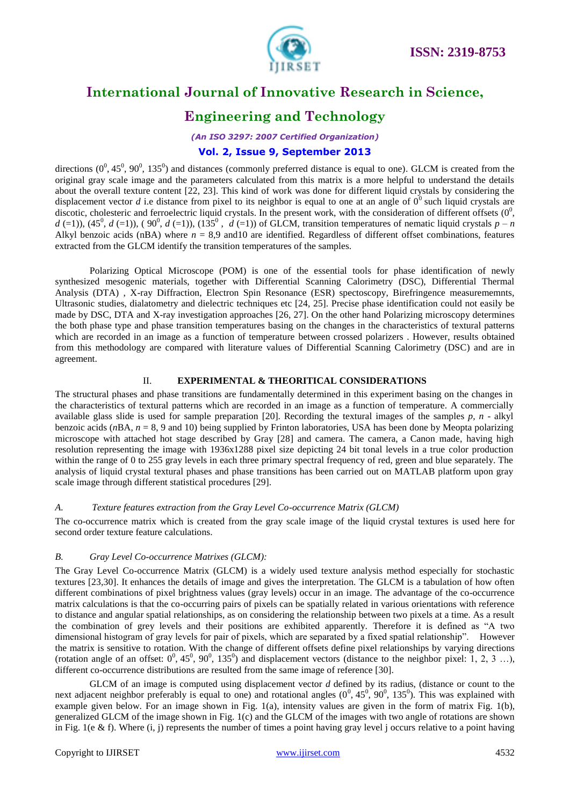



## **Engineering and Technology**

*(An ISO 3297: 2007 Certified Organization)*

### **Vol. 2, Issue 9, September 2013**

directions  $(0^0, 45^0, 90^0, 135^0)$  and distances (commonly preferred distance is equal to one). GLCM is created from the original gray scale image and the parameters calculated from this matrix is a more helpful to understand the details about the overall texture content [22, 23]. This kind of work was done for different liquid crystals by considering the displacement vector *d* i.e distance from pixel to its neighbor is equal to one at an angle of  $0^0$  such liquid crystals are discotic, cholesteric and ferroelectric liquid crystals. In the present work, with the consideration of different offsets  $(0^0,$  $d$  (=1)), (45<sup>0</sup>,  $d$  (=1)), (90<sup>0</sup>,  $d$  (=1)), (135<sup>0</sup>,  $\dot{d}$  (=1)) of GLCM, transition temperatures of nematic liquid crystals  $p - n$ Alkyl benzoic acids (nBA) where  $n = 8.9$  and 10 are identified. Regardless of different offset combinations, features extracted from the GLCM identify the transition temperatures of the samples.

Polarizing Optical Microscope (POM) is one of the essential tools for phase identification of newly synthesized mesogenic materials, together with Differential Scanning Calorimetry (DSC), Differential Thermal Analysis (DTA) , X-ray Diffraction, Electron Spin Resonance (ESR) spectoscopy, Birefringence measurememnts, Ultrasonic studies, dialatometry and dielectric techniques etc [24, 25]. Precise phase identification could not easily be made by DSC, DTA and X-ray investigation approaches [26, 27]. On the other hand Polarizing microscopy determines the both phase type and phase transition temperatures basing on the changes in the characteristics of textural patterns which are recorded in an image as a function of temperature between crossed polarizers . However, results obtained from this methodology are compared with literature values of Differential Scanning Calorimetry (DSC) and are in agreement.

#### II. **EXPERIMENTAL & THEORITICAL CONSIDERATIONS**

The structural phases and phase transitions are fundamentally determined in this experiment basing on the changes in the characteristics of textural patterns which are recorded in an image as a function of temperature. A commercially available glass slide is used for sample preparation [20]. Recording the textural images of the samples *p, n* - alkyl benzoic acids (*n*BA, *n* = 8, 9 and 10) being supplied by Frinton laboratories, USA has been done by Meopta polarizing microscope with attached hot stage described by Gray [28] and camera. The camera, a Canon made, having high resolution representing the image with 1936x1288 pixel size depicting 24 bit tonal levels in a true color production within the range of 0 to 255 gray levels in each three primary spectral frequency of red, green and blue separately. The analysis of liquid crystal textural phases and phase transitions has been carried out on MATLAB platform upon gray scale image through different statistical procedures [29].

#### *A. Texture features extraction from the Gray Level Co-occurrence Matrix (GLCM)*

The co-occurrence matrix which is created from the gray scale image of the liquid crystal textures is used here for second order texture feature calculations.

#### *B. Gray Level Co-occurrence Matrixes (GLCM):*

The Gray Level Co-occurrence Matrix (GLCM) is a widely used texture analysis method especially for stochastic textures [23,30]. It enhances the details of image and gives the interpretation. The GLCM is a tabulation of how often different combinations of pixel brightness values (gray levels) occur in an image. The advantage of the co-occurrence matrix calculations is that the co-occurring pairs of pixels can be spatially related in various orientations with reference to distance and angular spatial relationships, as on considering the relationship between two pixels at a time. As a result the combination of grey levels and their positions are exhibited apparently. Therefore it is defined as "A two dimensional histogram of gray levels for pair of pixels, which are separated by a fixed spatial relationship". However the matrix is sensitive to rotation. With the change of different offsets define pixel relationships by varying directions (rotation angle of an offset:  $0^0$ ,  $45^0$ ,  $90^0$ ,  $135^0$ ) and displacement vectors (distance to the neighbor pixel: 1, 2, 3 ...), different co-occurrence distributions are resulted from the same image of reference [30].

GLCM of an image is computed using displacement vector *d* defined by its radius, (distance or count to the next adjacent neighbor preferably is equal to one) and rotational angles  $(0^0, 45^0, 90^0, 135^0)$ . This was explained with example given below. For an image shown in Fig. 1(a), intensity values are given in the form of matrix Fig. 1(b), generalized GLCM of the image shown in Fig. 1(c) and the GLCM of the images with two angle of rotations are shown in Fig. 1(e & f). Where  $(i, j)$  represents the number of times a point having gray level j occurs relative to a point having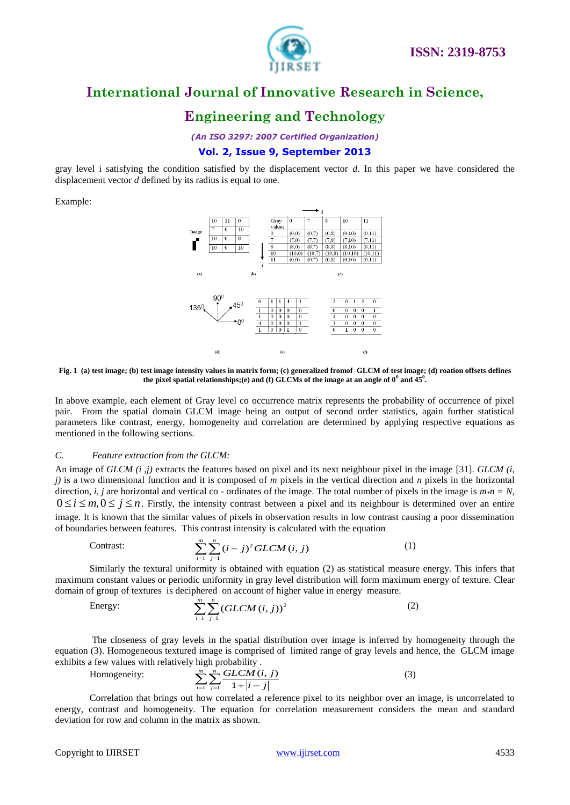

## **Engineering and Technology**

*(An ISO 3297: 2007 Certified Organization)*

#### **Vol. 2, Issue 9, September 2013**

gray level i satisfying the condition satisfied by the displacement vector *d*. In this paper we have considered the displacement vector *d* defined by its radius is equal to one.

Example:



**Fig. 1 (a) test image; (b) test image intensity values in matrix form; (c) generalized fromof GLCM of test image; (d) roation offsets defines**  the pixel spatial relationships;(e) and (f) GLCMs of the image at an angle of  $0^0$  and  $45^0$ .

In above example, each element of Gray level co occurrence matrix represents the probability of occurrence of pixel pair. From the spatial domain GLCM image being an output of second order statistics, again further statistical parameters like contrast, energy, homogeneity and correlation are determined by applying respective equations as mentioned in the following sections.

#### *C. Feature extraction from the GLCM:*

An image of *GLCM (i ,j)* extracts the features based on pixel and its next neighbour pixel in the image [31]. *GLCM (i, j*) is a two dimensional function and it is composed of *m* pixels in the vertical direction and *n* pixels in the horizontal direction, *i, j* are horizontal and vertical co - ordinates of the image. The total number of pixels in the image is  $m * n = N$ ,  $0 \le i \le m, 0 \le j \le n$ . Firstly, the intensity contrast between a pixel and its neighbour is determined over an entire image. It is known that the similar values of pixels in observation results in low contrast causing a poor dissemination

Contrast:

of boundaries between features. This contrast intensity is calculated with the equation  
Contrast: 
$$
\sum_{i=1}^{m} \sum_{j=1}^{n} (i-j)^2 GLCM(i, j)
$$
 (1)

Similarly the textural uniformity is obtained with equation (2) as statistical measure energy. This infers that maximum constant values or periodic uniformity in gray level distribution will form maximum energy of texture. Clear domain of group of textures is deciphered on account of higher value in energy measure.

Energy:

$$
\sum_{i=1}^{m} \sum_{j=1}^{n} (GLCM(i, j))^{2}
$$
 (2)

The closeness of gray levels in the spatial distribution over image is inferred by homogeneity through the equation (3). Homogeneous textured image is comprised of limited range of gray levels and hence, the GLCM image exhibits a few values with relatively high probability .

Homogeneity:

 $\frac{1}{j}$   $\frac{1}{j}$  $(i, j)$ 1 *m n*  $\sum_{i=1}^{m} \sum_{j=1}^{n} \frac{GLCM(i, j)}{1 + |i - j|}$ (3)

Correlation that brings out how correlated a reference pixel to its neighbor over an image, is uncorrelated to energy, contrast and homogeneity. The equation for correlation measurement considers the mean and standard deviation for row and column in the matrix as shown.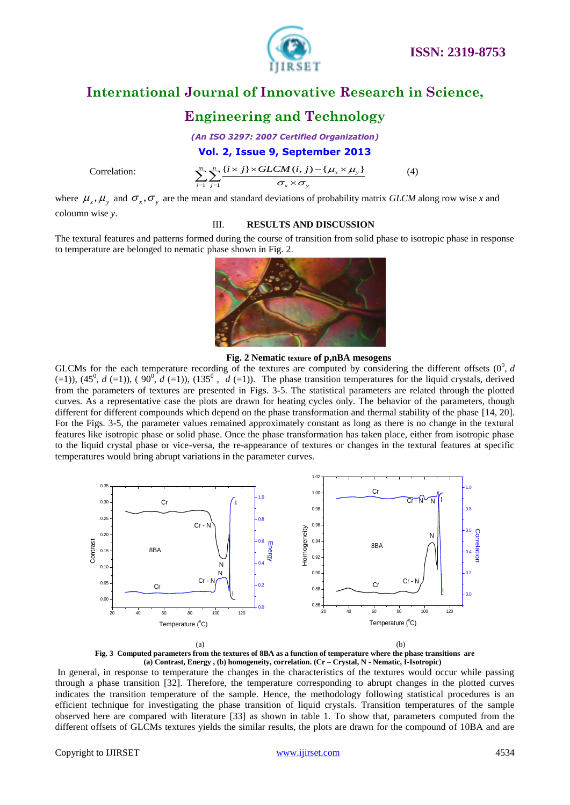

## **Engineering and Technology**

*(An ISO 3297: 2007 Certified Organization)*

Correlation:

**Vol. 2, Issue 9, September 2013**  

$$
\sum_{i=1}^{m} \sum_{j=1}^{n} \frac{\{i \times j\} \times GLCM(i, j) - \{\mu_x \times \mu_y\}}{\sigma_x \times \sigma_y}
$$
(4)

where  $\mu_x$ ,  $\mu_y$  and  $\sigma_x$ ,  $\sigma_y$  are the mean and standard deviations of probability matrix *GLCM* along row wise *x* and coloumn wise *y*.

#### III. **RESULTS AND DISCUSSION**

The textural features and patterns formed during the course of transition from solid phase to isotropic phase in response to temperature are belonged to nematic phase shown in Fig. 2.



 **Fig. 2 Nematic texture of p,nBA mesogens**

GLCMs for the each temperature recording of the textures are computed by considering the different offsets  $(0^0, d)$  $(=1)$ ),  $(45^0, d (=1)$ ),  $(90^0, d (=1)$ ),  $(135^0, d (=1))$ . The phase transition temperatures for the liquid crystals, derived from the parameters of textures are presented in Figs. 3-5. The statistical parameters are related through the plotted curves. As a representative case the plots are drawn for heating cycles only. The behavior of the parameters, though different for different compounds which depend on the phase transformation and thermal stability of the phase [14, 20]. For the Figs. 3-5, the parameter values remained approximately constant as long as there is no change in the textural features like isotropic phase or solid phase. Once the phase transformation has taken place, either from isotropic phase to the liquid crystal phase or vice-versa, the re-appearance of textures or changes in the textural features at specific temperatures would bring abrupt variations in the parameter curves.





In general, in response to temperature the changes in the characteristics of the textures would occur while passing through a phase transition [32]. Therefore, the temperature corresponding to abrupt changes in the plotted curves indicates the transition temperature of the sample. Hence, the methodology following statistical procedures is an efficient technique for investigating the phase transition of liquid crystals. Transition temperatures of the sample observed here are compared with literature [33] as shown in table 1. To show that, parameters computed from the different offsets of GLCMs textures yields the similar results, the plots are drawn for the compound of 10BA and are

#### Copyright to IJIRSET [www.ijirset.com](http://www.ijirset.com/) 4534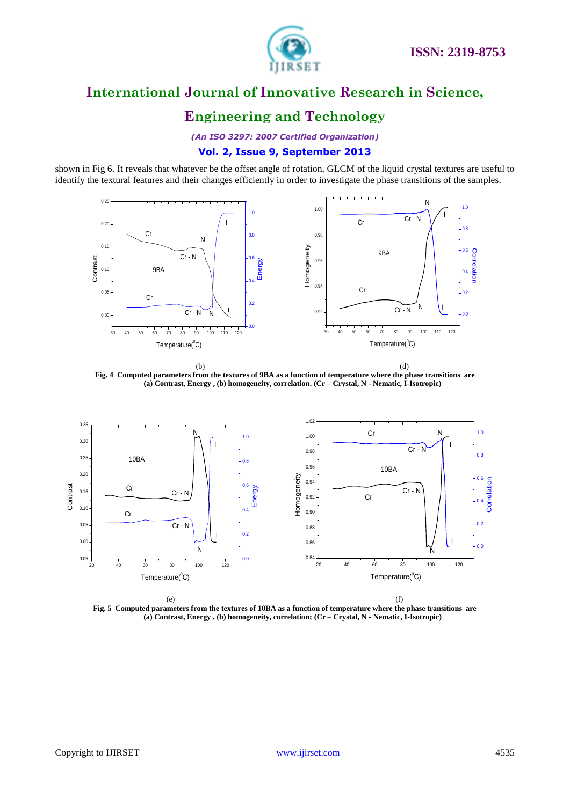

## **Engineering and Technology**

*(An ISO 3297: 2007 Certified Organization)*

### **Vol. 2, Issue 9, September 2013**

shown in Fig 6. It reveals that whatever be the offset angle of rotation, GLCM of the liquid crystal textures are useful to identify the textural features and their changes efficiently in order to investigate the phase transitions of the samples.



 $\qquad \qquad \textbf{(b)}$ **Fig. 4 Computed parameters from the textures of 9BA as a function of temperature where the phase transitions are (a) Contrast, Energy , (b) homogeneity, correlation. (Cr – Crystal, N - Nematic, I-Isotropic)**



 $(e)$  (f) **Fig. 5 Computed parameters from the textures of 10BA as a function of temperature where the phase transitions are (a) Contrast, Energy , (b) homogeneity, correlation; (Cr – Crystal, N - Nematic, I-Isotropic)**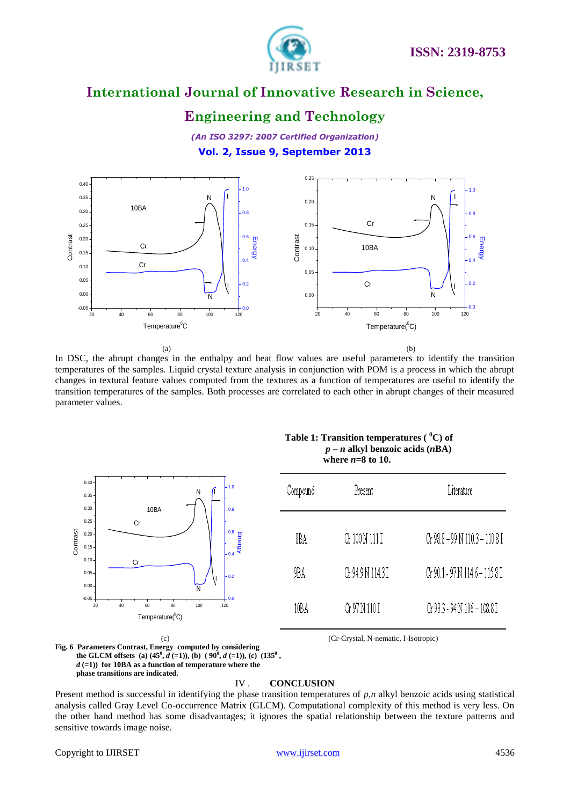

## **Engineering and Technology**

*(An ISO 3297: 2007 Certified Organization)* **Vol. 2, Issue 9, September 2013**



 $(a)$  (b) In DSC, the abrupt changes in the enthalpy and heat flow values are useful parameters to identify the transition temperatures of the samples. Liquid crystal texture analysis in conjunction with POM is a process in which the abrupt changes in textural feature values computed from the textures as a function of temperatures are useful to identify the transition temperatures of the samples. Both processes are correlated to each other in abrupt changes of their measured parameter values.



#### **Table 1: Transition temperatures ( <sup>0</sup>C) of**   *p – n* **alkyl benzoic acids (***n***BA) where** *n***=8 to 10.**

| Compound | Present           | Literature                     |
|----------|-------------------|--------------------------------|
| 8BA      | Gr 100 N 111 I    | Cr 98.8 – 99 N 110.3 – 110.8 I |
| 9BA      | Gr 94.9 N 114.3 I | Cr 90.1 - 97 N 114.6 - 115.8 I |
| 10B A    | G: 97 N 110 I     | Cr 93.3 - 94 N 106 - 108.8 I   |

 (c) (Cr-Crystal, N-nematic, I-Isotropic) **Fig. 6 Parameters Contrast, Energy computed by considering the GLCM offsets** (a)  $(45^{\circ}, d \text{ } (=1))$ , (b)  $(90^{\circ}, d \text{ } (=1))$ , (c)  $(135^{\circ},$ *d* **(=1)) for 10BA as a function of temperature where the phase transitions are indicated.** 

#### IV . **CONCLUSION**

Present method is successful in identifying the phase transition temperatures of  $p, n$  alkyl benzoic acids using statistical analysis called Gray Level Co-occurrence Matrix (GLCM). Computational complexity of this method is very less. On the other hand method has some disadvantages; it ignores the spatial relationship between the texture patterns and sensitive towards image noise.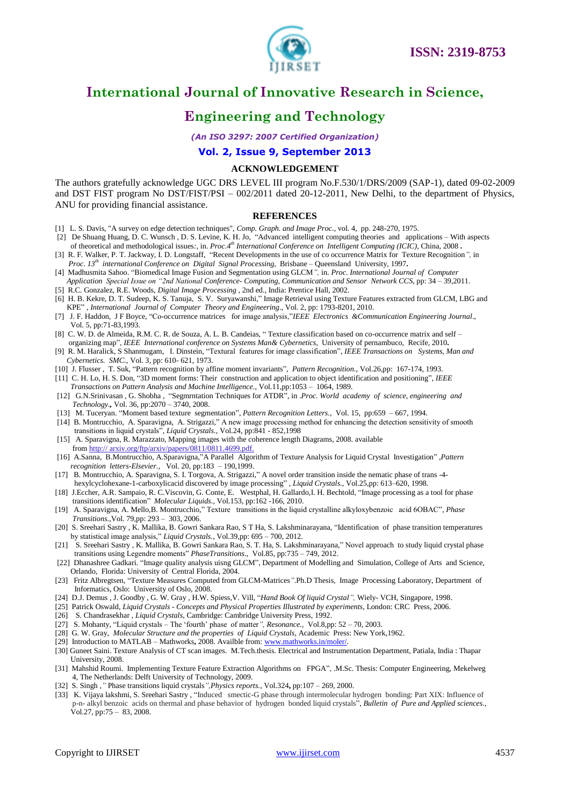



## **Engineering and Technology**

*(An ISO 3297: 2007 Certified Organization)*

#### **Vol. 2, Issue 9, September 2013**

#### **ACKNOWLEDGEMENT**

The authors gratefully acknowledge UGC DRS LEVEL III program No.F.530/1/DRS/2009 (SAP-1), dated 09-02-2009 and DST FIST program No DST/FIST/PSI – 002/2011 dated 20-12-2011, New Delhi, to the department of Physics, ANU for providing financial assistance.

#### **REFERENCES**

- [1] L. S. Davis, "A survey on edge detection techniques", *Comp. Graph. and Image Proc*., vol. 4, pp. 248-270, 1975.
- [2] De Shuang Huang, D. C. Wunsch , D. S. Levine, K. H. Jo, "Advanced intelligent computing theories and applications With aspects of theoretical and methodological issues*:*, in. *Proc*.*4 th International Conference on Intelligent Computing (ICIC),* China, 2008 **.**
- [3] R. F. Walker, P. T. Jackway, I. D. Longstaff, "Recent Developments in the use of co occurrence Matrix for Texture Recognition*",* in *Proc*. *13th international Conference on Digital Signal Processing*, Brisbane – Queensland University, 1997**.**
- [4] Madhusmita Sahoo. "Biomedical Image Fusion and Segmentation using GLCM*",* in. *Proc*. *International Journal of Computer Application Special Issue on "2nd National Conference- Computing, Communication and Sensor Network CCS*, pp: 34 – 39,2011.
- [5] R.C. Gonzalez, R.E. Woods, *Digital Image Processing* , 2nd ed., India: Prentice Hall, 2002*.*
- [6] H. B. Kekre, D. T. Sudeep, K. S. Tanuja, S. V. Suryawanshi," Image Retrieval using Texture Features extracted from GLCM, LBG and KPE" , *International Journal of Computer Theory and Engineering.,* Vol. 2, pp: 1793-8201, 2010.
- [7] J. F. Haddon, J F Boyce, "Co-occurrence matrices for image analysis,"*IEEE Electronics &Communication Engineering Journal*., Vol. 5, pp:71-83,1993.
- [8] C. W. D. de Almeida, R.M. C. R. de Souza, A. L. B. Candeias, " Texture classification based on co-occurrence matrix and self organizing map", *IEEE International conference on Systems Man& Cybernetics,* University of pernambuco, Recife, 2010**.**
- [9] R. M. Haralick, S Shanmugam, I. Dinstein, "Textural features for image classification", *IEEE Transactions on Systems, Man and Cybernetics. SMC.*, Vol. 3, pp: 610- 621, 1973.
- [10] J. Flusser , T. Suk, "Pattern recognition by affine moment invariants", *Pattern Recognition.*, Vol.26*,*pp: 167-174, 1993.
- [11] C. H. Lo, H. S. Don, "3D moment forms: Their construction and application to object identification and positioning", *IEEE Transactions on Pattern Analysis and Machine Intelligence.*, Vol.11,pp:1053 – 1064, 1989.
- [12] G.N.Srinivasan , G. Shobha , "Segmrntation Techniques for ATDR", in .*Proc. World academy of science, engineering and Technology.,* Vol. 36, pp:2070 – 3740, 2008.
- [13] M. Tuceryan. "Moment based texture segmentation", *Pattern Recognition Letters.,* Vol. 15, pp:659 667, 1994.
- [14] B. Montrucchio, A. Sparavigna, A. Strigazzi," A new image processing method for enhancing the detection sensitivity of smooth transitions in liquid crystals", *Liquid Crystals.*, Vol.24, pp:841 - 852,1998
- [15] A. Sparavigna, R. Marazzato, Mapping images with the coherence length Diagrams, 2008. available from http:// arxiv.org/ftp/arxiv/papers/0811/0811.4699.pdf.
- [16] A.Sanna, B.Montrucchio, A.Sparavigna,"A Parallel Algorithm of Texture Analysis for Liquid Crystal Investigation" ,*Pattern recognition letters-Elsevier.*, Vol. 20, pp:183 – 190,1999.
- [17] B. Montrucchio, A. Sparavigna, S. I. Torgova, A. Strigazzi," A novel order transition inside the nematic phase of trans -4 hexylcyclohexane-1-carboxylicacid discovered by image processing" , *Liquid Crystals.*, Vol.25,pp: 613–620, 1998.
- [18] J.Eccher, A.R. Sampaio, R. C.Viscovin, G. Conte, E. Westphal, H. Gallardo,I. H. Bechtold, "Image processing as a tool for phase transitions identification" *Molecular Liquids.,* Vol.153, pp:162 -166, 2010.
- [19] A. Sparavigna, A. Mello,B. Montrucchio," Texture transitions in the liquid crystalline alkyloxybenzoic acid 6OBAC", *Phase Transitions.*,Vol. 79,pp: 293 – 303, 2006.
- [20] S. Sreehari Sastry , K. Mallika, B. Gowri Sankara Rao, S T Ha, S. Lakshminarayana, "Identification of phase transition temperatures by statistical image analysis," *Liquid Crystals.*, Vol.39,pp: 695 – 700, 2012.
- [21] S. Sreehari Sastry , K. Mallika, B. Gowri Sankara Rao, S. T. Ha, S. Lakshminarayana," Novel approach to study liquid crystal phase transitions using Legendre moments" *PhaseTransitions*., Vol.85, pp:735 – 749, 2012.
- [22] Dhanashree Gadkari. "Image quality analysis uisng GLCM", Department of Modelling and Simulation, College of Arts and Science, Orlando, Florida: University of Central Florida, 2004.
- [23]Fritz Albregtsen, "Texture Measures Computed from GLCM-Matrices*"*.Ph.D Thesis, Image Processing Laboratory, Department of Informatics, Oslo: University of Oslo, 2008.
- [24] D.J. Demus , J. Goodby , G. W. Gray , H.W. Spiess,V. Vill, "*Hand Book Of liquid Crystal",* Wiely- VCH, Singapore, 1998.
- [25]Patrick Oswald, *Liquid Crystals - Concepts and Physical Properties Illustrated by experiments*, London: CRC Press, 2006.
- [26] S. Chandrasekhar , *Liquid Crystals*, Cambridge: Cambridge University Press, 1992.
- [27] S. Mohanty, "Liquid crystals The "fourth" phase of matter*", Resonance.,* Vol.8,pp: 52 70, 2003.
- [28] G. W. Gray, *Molecular Structure and the properties of Liquid Crystals*, Academic Press: New York,1962.
- [29] Introduction to MATLAB Mathworks**,** 2008. Availble from[: www.mathworks.in/moler/](http://www.mathworks.in/moler/)*.*
- [30] Guneet Saini. Texture Analysis of CT scan images. M.Tech.thesis. Electrical and Instrumentation Department, Patiala, India : Thapar University, 2008.
- [31] Mahshid Roumi. Implementing Texture Feature Extraction Algorithms on FPGA", .M.Sc. Thesis: Computer Engineering, Mekelweg 4, The Netherlands: Delft University of Technology, 2009.
- [32] S. Singh *,"* Phase transitions liquid crystals*",Physics reports.*, Vol.324**,** pp:107 269, 2000.
- [33] K. Vijaya lakshmi, S. Sreehari Sastry , "Induced smectic-G phase through intermolecular hydrogen bonding: Part XIX: Influence of p-n- alkyl benzoic acids on thermal and phase behavior of hydrogen bonded liquid crystals", *Bulletin of Pure and Applied sciences.*, Vol.27, pp:75 – 83*,* 2008.